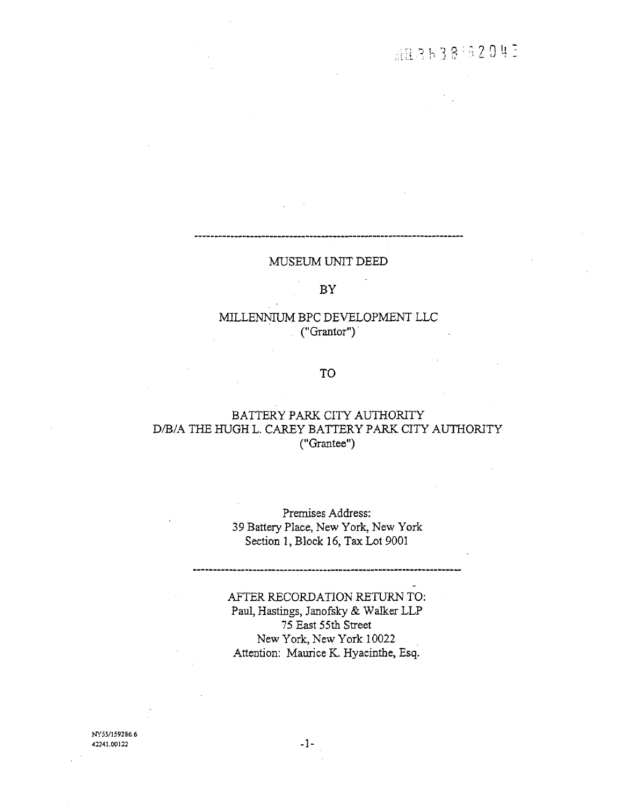## MUSEUM UNIT DEED

#### **BY**

# MILLENNIUM BPC DEVELOPMENT LLC  $(\text{``Grantor''})$

## **TO**

# BATTERY PARK CITY AUTHORITY D/B/A THE HUGH L. CAREY BATTERY PARK CITY AUTHORITY ("Grantee")

Premises Address: 39 Battery Place, New York, New York Section 1, Block 16, Tax Lot 9001

AFTER RECORDATION RETURN TO: Paul, Hastings, Janofsky & Walker LLP 75 East 55th Street New York, New York 10022 Attention: Maurice K. Hyacinthe, Esq.

NY55/159286.6 42241.00122

 $-1-$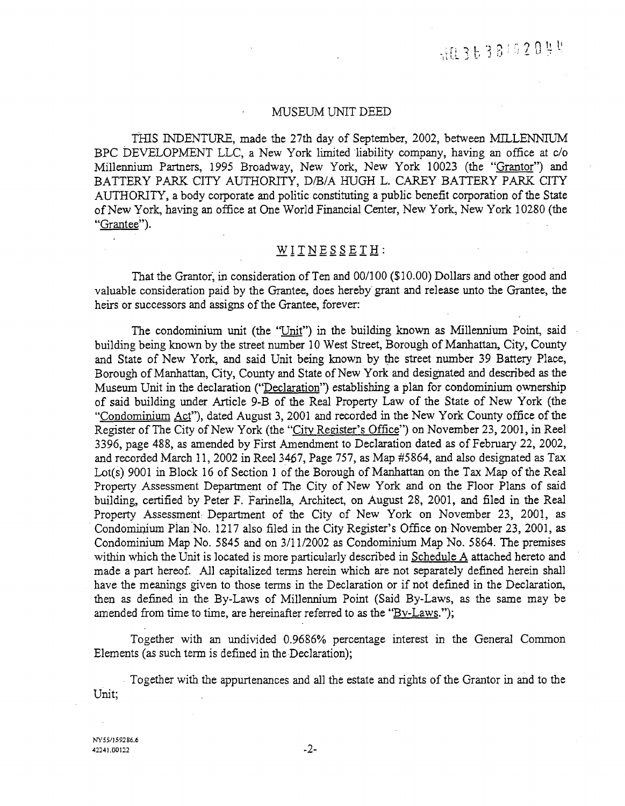#### MUSEUM UNIT DEED

THIS INDENTURE, made the 27th day of September, 2002, between MILLENNIUM BPC DEVELOPMENT LLC, a New York limited liability company, having an office at c/o Millennium Partners, 1995 Broadway, New York, New York 10023 (the "Grantor") and BATTERY PARK CITY AUTHORITY, D/B/A HUGH L. CAREY BATTERY PARK CITY AUTHORITY, a body corporate and politic constituting a public benefit corporation of the State of New York, having an office at One World Financial Center, New York, New York 10280 (the "Grantee").

## $WITNESEETH$ :

That the Grantor, in consideration of Ten and 00/100 (\$10.00) Dollars and other good and valuable consideration paid by the Grantee, does hereby grant and release unto the Grantee, the heirs or successors and assigns of the Grantee, forever:

The condominium unit (the "Unit") in the building known as Millennium Point, said building being known by the street number 10 West Street, Borough of Manhattan, City, County and State of New York, and said Unit being known by the street number 39 Battery Place, Borough of Manhattan, City, County and State of New York and designated and described as the Museum Unit in the declaration ("Declaration") establishing a plan for condominium ownership of said building under Article 9-B of the Real Property Law of the State of New York (the "Condominium Act"), dated August 3, 2001 and recorded in the New York County office of the Register of The City of New York (the "City Register's Office") on November 23, 2001, in Reel 3396, page 488, as amended by First Amendment to Declaration dated as of February 22, 2002, and recorded March 11, 2002 in Reel 3467, Page 757, as Map #5864, and also designated as Tax Lot(s) 9001 in Block 16 of Section 1 of the Borough of Manhattan on the Tax Map of the Real Property Assessment Department of The City of New York and on the Floor Plans of said building, certified by Peter F. Farinella, Architect, on August 28, 2001, and filed in the Real Property Assessment Department of the City of New York on November 23, 2001, as Condominium Plan No. 1217 also filed in the City Register's Office on November 23, 2001, as Condominium Map No. 5845 and on 3/11/2002 as Condominium Map No. 5864. The premises within which the Unit is located is more particularly described in Schedule A attached hereto and made a part hereof. All capitalized terms herein which are not separately defined herein shall have the meanings given to those terms in the Declaration or if not defined in the Declaration, then as defined in the By-Laws of Millennium Point (Said By-Laws, as the same may be amended from time to time, are hereinafter referred to as the "By-Laws.");

Together with an undivided 0.9686% percentage interest in the General Common Elements (as such term is defined in the Declaration);

Together with the appurtenances and all the estate and rights of the Grantor in and to the Unit;

NY55/159286.6 42241.00122

 $\mathbf{r}$ 

 $-2-$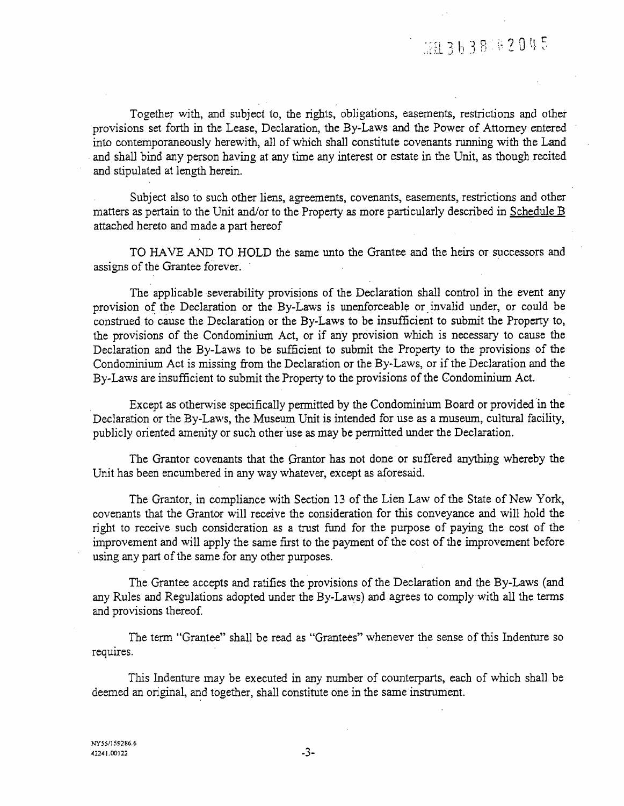# HR3638182045

Together with, and subject to, the rights, obligations, easements, restrictions and other provisions set forth in the Lease, Declaration, the By-Laws and the Power of Attorney entered into contemporaneously herewith, all of which shall constitute covenants running with the Land and shall bind any person having at any time any interest or estate in the Unit, as though recited and stipulated at length herein.

Subject also to such other liens, agreements, covenants, easements, restrictions and other matters as pertain to the Unit and*/*or to the Property as more particularly described in Schedule B attached hereto and made a part hereof

TO H*A*VE *A*ND TO HOLD the same unto the Grantee and the heirs or successors and assigns of the Grantee forever.

The applicable severability provisions of the Declaration shall control in the event any provision of the Declaration or the By-Laws is unenforceable or invalid under, or could be construed to cause the Declaration or the By-Laws to be insufficient to submit the Property to, the provisions of the Condominium Act, or if any provision which is necessary to cause the Declaration and the By-Laws to be sufficient to submit the Property to the provisions of the Condominium Act is missing from the Declaration or the By-Laws, or if the Declaration and the By-Laws are insufficient to submit the Property to the provisions of the Condominium Act.

Except as otherwise specifically permitted by the Condominium Board or provided in the Declaration or the By-Laws, the Museum Unit is intended for use as a museum, cultural facility, publicly oriented amenity or such other use as may be permitted under the Declaration.

The Grantor covenants that the Grantor has not done or suffered anything whereby the Unit has been encumbered in any way whatever, except as aforesaid.

The Grantor, in compliance with Section 13 of the Lien Law of the State of New York, covenants that the Grantor will receive the consideration for this conveyance and will hold the right to receive such consideration as a trust fund for the purpose of paying the cost of the improvement and will apply the same first to the payment of the cost of the improvement before using any part of the same for any other purposes.

The Grantee accepts and ratifies the provisions of the Declaration and the By-Laws (and any Rules and Regulations adopted under the By-Laws) and agrees to comply with all the terms and provisions thereof.

*T*he term "Grantee" shall be read as "Grantees" whenever the sense of this Indenture so requires.

This Indenture may be executed in any number of counterparts, each of which shall be deemed an original, and together, shall constitute one in the same instrument.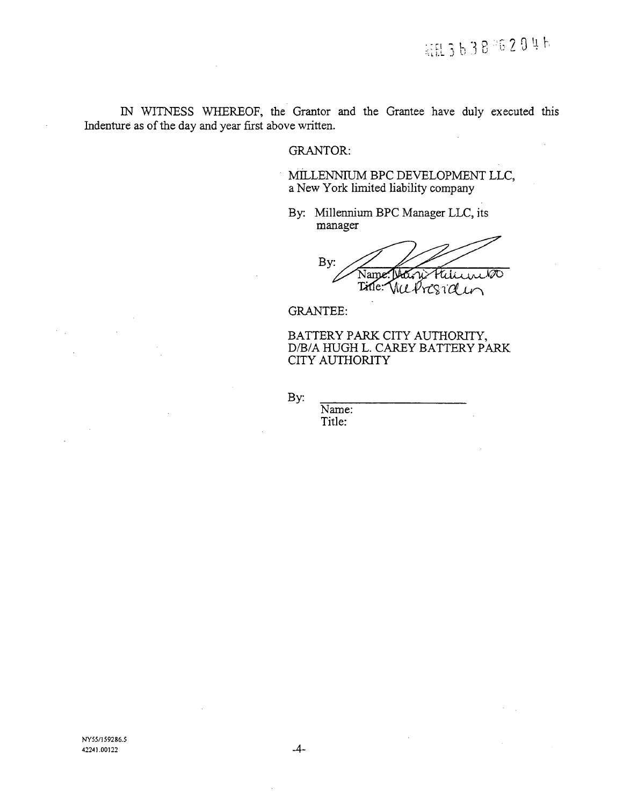IN WITNESS WHEREOF, the Grantor and the Grantee have duly executed this Indenture as of the day and year first above written.

# GRANTOR:

MI*LL*ENNIIJM BPC DEVE*L*OPMENT *LL*C, a New York limited liability company

By: Millennium BPC Manager LLC, its manager

By: Name Title: Mil

GR*A*NTEE:

BATTERY PARK *C*ITY AUTHORITY, D*/*B*/A* HUGH *L*. CAREY BATTERY PARK CITY AUTHORITY

By:

Name: Title: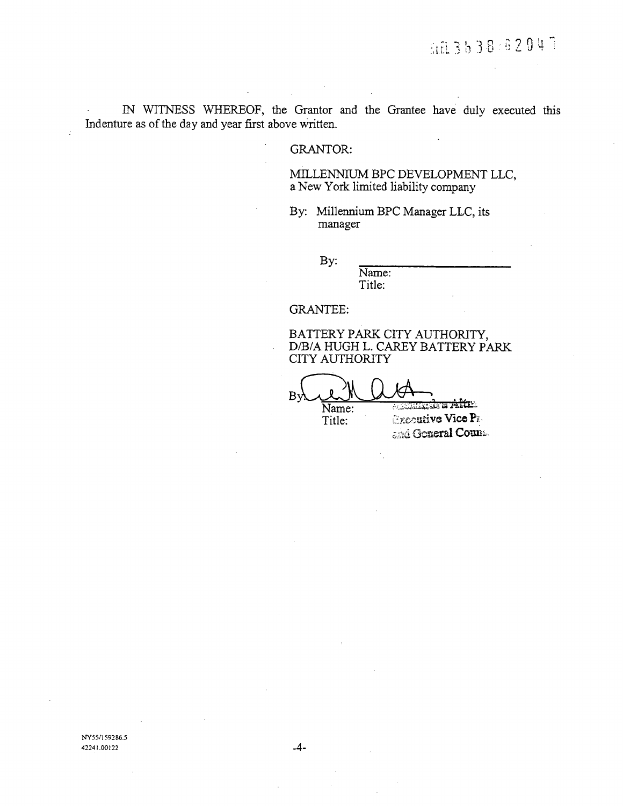IN WITNESS WHEREOF, the Grantor and the Grantee have duly executed this Indenture as of the day and year first above written.

## **GRANTOR:**

# MILLENNIUM BPC DEVELOPMENT LLC, a New York limited liability company

By: Millennium BPC Manager LLC, its manager

By:

Name: Title:

**GRANTEE:** 

BATTERY PARK CITY AUTHORITY, D/B/A HUGH L. CAREY BATTERY PARK **CITY AUTHORITY** 

**PERMIT IN A PARTIES** Name:

Title:

*CROCULIVE Vice Pr.* and General Count.

NY55/159286.5 42241.00122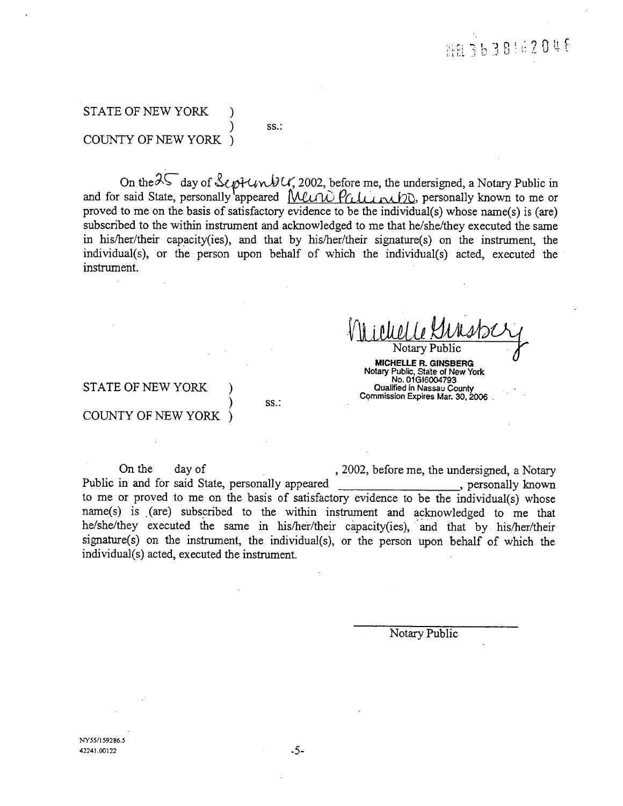# STATE OF NEW YORK ) COUNTY OF NEW YORK )

) SS.:

 $\frac{1}{2}$   $\frac{1}{2}$   $\frac{1}{2}$   $\frac{1}{2}$   $\frac{1}{2}$   $\frac{1}{2}$   $\frac{1}{2}$   $\frac{1}{2}$   $\frac{1}{2}$   $\frac{1}{2}$   $\frac{1}{2}$   $\frac{1}{2}$   $\frac{1}{2}$   $\frac{1}{2}$   $\frac{1}{2}$   $\frac{1}{2}$   $\frac{1}{2}$   $\frac{1}{2}$   $\frac{1}{2}$   $\frac{1}{2}$   $\frac{1}{2}$   $\frac{1}{2}$  and for said State, personally appeared *[WLU W P(LILL RIJD*), personally known to me or proved to me on the basis of satisfactory evidence to be the individual(s) whose name(s) is (are) subscribed to the within instrument and acknowledged to me tha**t** he*/*she*/*they executed the same in his*/*her*/*their capacity(ies), and that by his/her*/*their signature(s) on the instrument, the individual(s), or the person upon behalf of which the individual(s) acted, executed the instrument.

Notar**y** Public *0u*' **MICHELLE R. GINSBERG NotaryPublic,State o**f **New York No**. **01G16004793** STATE OF NEW YORK ) **Qu**a**l**ified **in N**a**s**sa**u**C**ou**n**t**y Commi**s**sion Expires Mar**.** 30, 2006

# COUNTY OF NEW YORK )

) S**S**.: " "

On the day of , 2002, before me, the undersigned, a Notary<br>in and for said State, personally appeared , personally known Public in and for said State, personally appeared to me or proved to me on the basis of satisfactory evidence to be the individual(s) whose name(s) is (are) subscribed to the within instrument and acknowledged to me that he*/*she*/*they executed the same in his/her*/*their capacity(ies), and that by his/her*/*their signature(s) on the instrument, the individual(s), or the person upon behalf of which the individual(s) acted, executed the instrument.

Notary Public

NY*5***5***/*15*9*286.5 42241.00122 -5-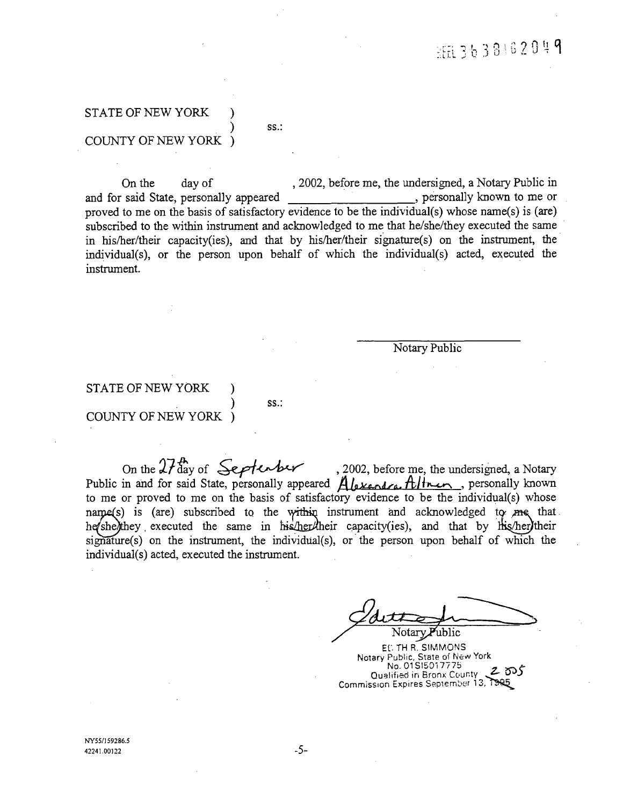# STATE OF NEW YORK ) COUNTY OF NEW YOR*K* )

 $SS.$ :

On the day of , 2002, before me, the undersigned, a Notary Public in said State, personally appeared , personally known to me or and for said State, personally appeared proved to me on the basis of satisfactory evidence to be the individual(s) whose name(s) is (are) subscribed to the within instrument and acknowledged to me that he*/*she*/*they executed the same in his*/*her*/*their capacity(ies), and that by his/her*/*their signature(s) on the instrument, the individual(s)*,* or the person upon behalf of which the individual(s) acted, executed the instrument.

Notary *P*ublic

# STATE OF NEW YORK ) COUNTY OF NEW YORK )

) **SS.**:

On the  $\alpha$ , aay of  $\bigoplus_{i=1}^n$ ,  $\bigoplus_{i=1}^n$ ,  $\bigoplus_{i=1}^n$ ,  $\bigoplus_{i=1}^n$ ,  $\bigoplus_{i=1}^n$ ,  $\bigoplus_{i=1}^n$ ,  $\bigoplus_{i=1}^n$ Public in and for said State, personally appeared *Hlexendra Illinoin*, personally known to me or proved to me on the basis of satisfactory evidence to be the individual(s) whose narge(s) is (are) subscribed to the within instrument and acknowledged to me that. he she they executed the same in his her their capacity(ies), and that by his her their  $signature(s)$  on the instrument, the individual(s), or the person upon behalf of which the individual(s) acted, executed the instrument.

ʻublic Notarv

EL. TH R. SIMMONS Notary Public, State of New York No. 01SI5017775<br>Qualified in Bronx County 2005 Qualified in Bronx Count<sub>y</sub>, **ASOE** Comm]ss\_**Q**n Expires September 1a,,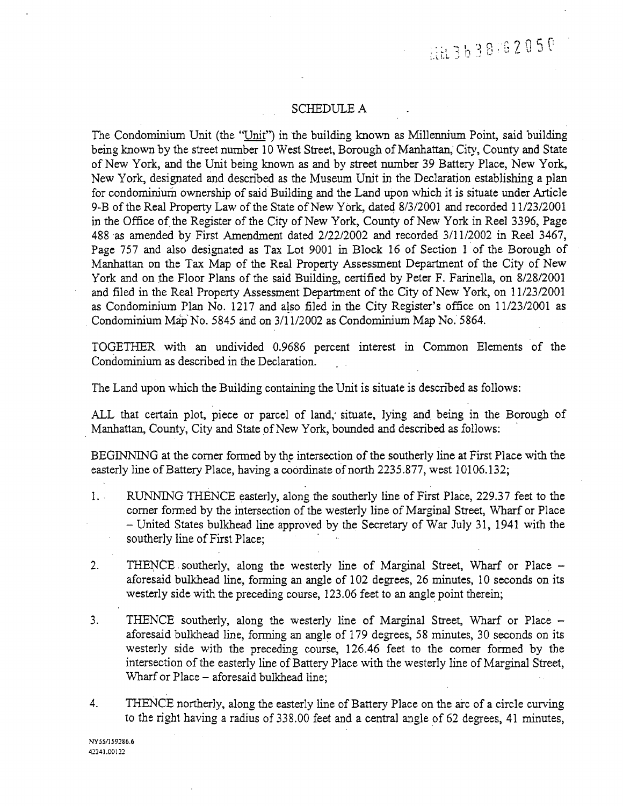HH 3638162050

#### SCHEDU*L*E A

The Condominium Unit (the "Unit") in the building known as *M*illennium Point, said building being known by the st*r*eet number 10 West Street, Bo*r*ough of Manhattan, City, County and State of New York, and the Unit being known as and by street number 39 Battery Place, New York, New York, designated and described a*s* the Museum Unit in the Declaration establishing a plan for condominium ownership of said Building and the Land upon which it is situate under A*r*ticle 9-B of the Real Property Law of the State of New YOrk, dated 8*/*3*/*2001 and recorded 11*/2*3*/*2001 in the Office of the Register of the City of New York, County of New York in Reel 3396, Page 488 as amended by First Amendment dated 2*/*22*/*2002 and recorded 3*/*11*/*2002 in Reel 3467, Page 757 and also designated as Tax Lot 9001 in Block 16 of Section 1 of the Borough of Manhattan on the Tax Map of the Real Property *A*ssessment Department of the *C*ity of New York and on the Floor Plans of the said Building, certified by Peter F. Farinella, on 8*/*28*/*2001 and filed in the Real Property *A*ssessment Department of the City of New Y*o*rk, on 11*/2*3*/*2001 as Condominium Plan No. 1217 and also filed in the City Register's office on 11/23/2001 as Condominium Map"No. 5845 and on 3*/*11*/*200*2* as Condominium Map No. 5864.

*T*OGETHER with an undivided 0.9686 percent interest in Common Elements of the Condominium as described in the Declaration.

*T*he Land upon which the Building containing the Unit is situate is described as follows:

ALL that certain plot, piece or parcel of land,' situate, lying and being in the Borough of Manhattan, County, City and State of New York, bounded and described as follows:

BE*G*INNING at the comer formed by the intersection of the southerly line at First Place with the easterly line of Battery Place, having a coordinate of north 2235.877, west 10106.132;

- 1. RUNNING THENCE easterly, along the southerly line of First Place, *2*29.37 feet to the comer formed by the intersection of the westerly line of Marginal Street, Wharf or Place - United States bulkhead line approved by the Secretary of War July 31, 1941 with the southerly line of First Place;
- 2. THENCE southerly, along the westerly line of Marginal Street, Wharf or Place aforesaid bulkhead line, forming an angle of 102 degrees, 26 minutes, 10 seconds on its westerly side with the preceding course, 123.06 feet to an angle point therein;
- 3. THENCE southerly, along the westerly line of Marginal Street, Wharf or Place aforesaid bulkhead line, forming an angle of 179 degrees*,* 58 minutes, 30 seconds on its westerly side with the preceding course, 126.46 feet to the comer formed by the intersection of the easterly line of Battery Place with the westerly line of Marginal Street, Wharf or Place - aforesaid bulkhead line;
- 4. *T*HENCE northerly, along the easterly line of Battery Place on the arc of a circle curving to the right having a radius of 338.00 feet and a central angle of 62 degrees, 41 minutes,

NY55/159286.6 4**\_.**2241.**0**0122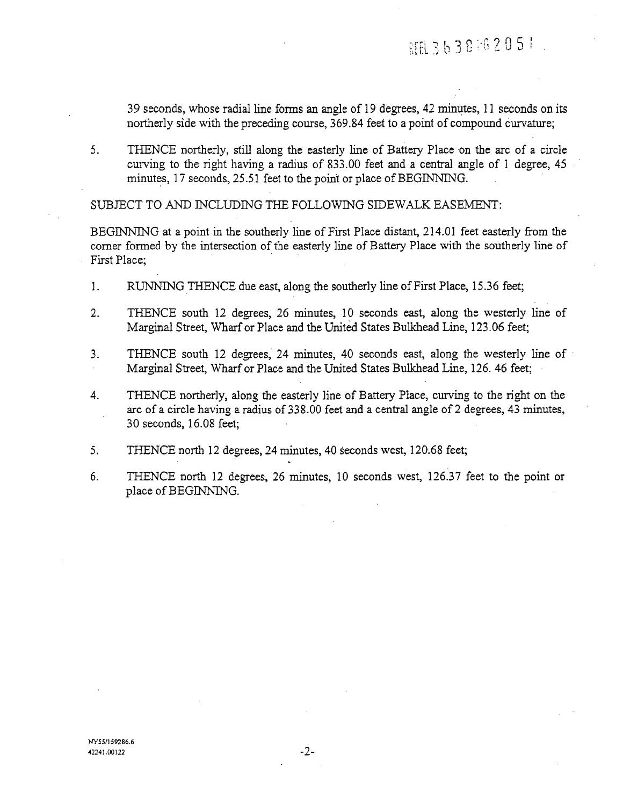39 seconds, whose radial line forms an angle of 19 degrees, 42 minutes, 11 seconds on its northerly side with the preceding course, 369.84 feet to a point of compound curvature;

*5*. THENCE northerly*,* still along the easterly line of Battery Place on the arc of a circle curving to the right having a radius of 833.00 feet and a central angle of 1 degree, 45 minutes*,* 17 seconds, 25.5.1 feet to the point or place of BEGINNING.

SUBJECT TO AND INC*L*UDING THE FO*LL*OWING SIDEWALK EASEMENT:

BEGIN*N*ING at a point in the southerly line of First Place distant, 214.01 feet easterly from the comer formed by the intersection of the easterly line of Battery Place with the southerly line of First Place;

- l. RUNNING THENCE due east, along the southerly line of First Place*,* 1*5*.36 feet;
- 2. THENCE south 12 degrees, 26 minutes*,* 10 seconds east, along the westerly line of Marginal Street, Wharf or Place and the United States Bulkhead Line, 123.06 feet;
- 3. THENCE south 12 degrees, 24 minutes, 40 seconds east, along the westerly line of Marginal Street, Wharf or Place and the United States Bulkhead Line, 126. 46 feet;
- 4. THENCE northerly, along the easterly line of Battery Place, curving to the fight on the arc of a circle having a radius of 33g.00 feet and a central angle of 2 degrees, 43 minutes, 30 seconds, 16.08 feet;
- 5. *T*HENCE north 12 degrees, 24 minutes, 40 Seconds west, 120.68 feet;
- 6. *T*HENCE north 12 degrees, 26 minutes, 10 seconds west, 126137 feet to the point or place of BEGINNING.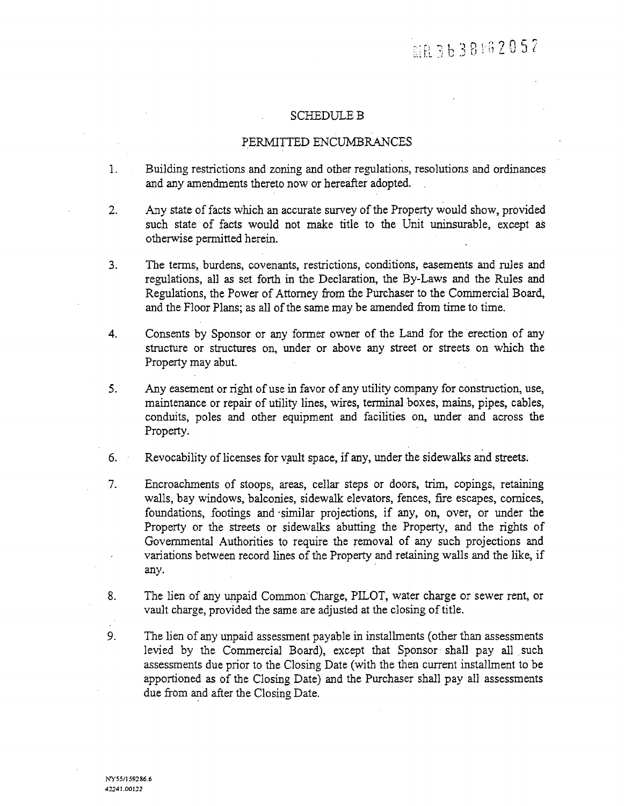#### SCHEDULE B

## PER*M*ITTED ENCU*M*BR*A*NCES

- 1. Building restrictions and zoning and other regulations, resolutions and ordinances and any amendments thereto now or hereafter adopted.
- 2. Any state of facts which an accurate survey of the Property Would show, provided such state of facts would not make title to the Unit uninsurable, except as otherwise permitted herein.
- 3. *T*he terms, burdens, covenants, restrictions*,* conditions*,* easements mad rules and regulations, all as set forth in the Declaration, the By-Laws and the Rules and Regulations, the Power of *A*ttorney from the Purchaser to the Commercial Board, and the Floor Plans; as all of the same may be amended from time to time.
- 4. Consents by Sponsor or any former owner of the *L*and for the erection of any structure or structures on, under or above any street or streets on which the Property may abut.
- 5. Any easement or right of use in fav*o*r of any utility company for construction, use, maintenance or repair of utility lines, wires, terminal boxes, mains, pipe**s**, cables, conduits, poles and other equipment and facilities on, under and across the Property.
- 6. Revocability of licenses for vault space, if any, under the sidewalks and streets.
- 7. Encroachments of stoops, areas, cellar steps or doors, trim, copings, retaining walls, bay windows, balconies*,* sidewalk elevators, fences, fn'e escapes, cornices*,* foundations, footings and similar projections, if any, on, over, or under the Property or the streets or sidewalks abutting the Property, and the fights of Governmental Authorities to require the removal of any such projections and variations between record lines of the Property and retaining walls and the like, if anv.
- 8. The lien of any unpaid Common Charge, PILOT, water charge or sewer rent, or vault charge, provided the same are adjusted at the closing of title.
- 9. *T*he lien of any unpaid assessment payable in installments (other than assessments levied by the Commercial Board), except that Sponsor shall pay all such assessments due prior to the Closing Date (with the then current installment to be apportioned a*s* of the Closing Date) and the Purchaser shall pay all assessments due from and after the Closing Date.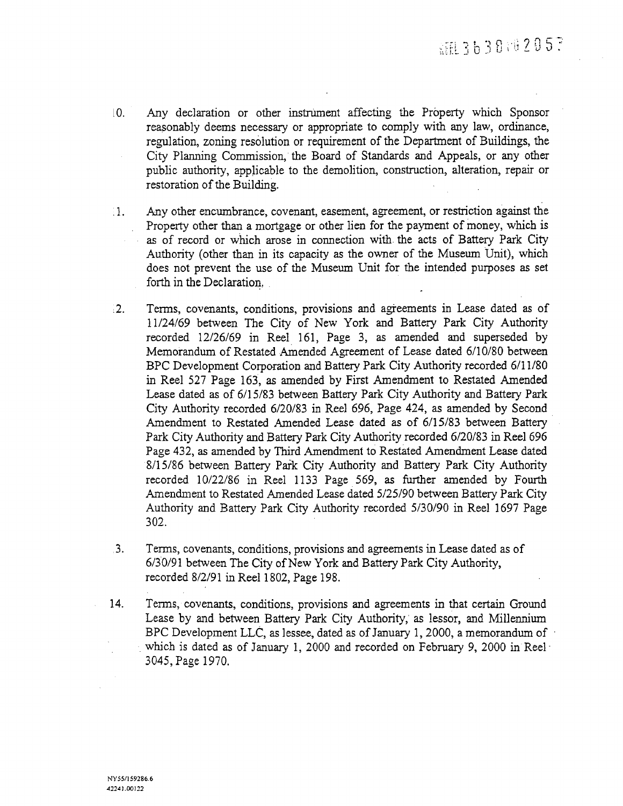- [0. *A*ny declaration or other instrument affecting the Property which Sponsor reasonably deems necessary or appropriate to comply with any law, ordinance, regulation, zoning resolution or requirement of the Department of Buildings, the City Planning Commission, the Board of Standards and *A*ppeals, or any other public autho*ri*ty, applicable to the demolition, construction, alteration, repair or restoration of the Building.
- i1. Any other encumbrance, covenant, easement, agreement, or restriction against the Property other than a mortgage or other lien for the payment of money, which is as of record or which arose in connection with the acts of Battery Park City *A*uthority (other than in its capacity as the owner of the Museum Unit), which does not prevent the use of the Museum Unit for the intended purposes as set forth in the *D*eclaration*,*
- 12. *T*erms, covenants, conditions, provisions and agreements in Lease dated as of 11*/*24*/*69 between *T*he City of New York and Battery Park City Authority recorded 12*/*26*/*69 in Reel 161, Page 3, as amended and superseded by Memorandum of Restated Amended *A*greement of Lease dated 6*/*10*/*80 between BPC Development Corporation and Battery Park City Autho*ri*ty recorded 6*/*11*/*80 in Reel 527 Page 163, as amended by First Amendment to Restated Amended Lease dated as of 6*/*15*/*83 between Battery Park City *A*uthority and Battery Park City *A*uthority recorded 6*/*20*/*83 in Ree] 696*,* Page 424, as amended by Second Amendment to Restated Amended Lease dated as of 6*/*15*/*83 between Battery Park City *A*uthority and Battery Park City *A*uthority recorded 6*/*20*/*83 in Reel 696 Page 432, as amended by Third Amendment to Restated *A*mendment Lease dated 8*/*15*/*86 between Battery Park City *A*utho*ri*ty and Battery Park City Autho*ri*ty recorded 10*/*22*/*86 in Reel 1133 Page 569, as further amended by Fou*r*th *A*mendment to Restated Anaended Lease dated 5*/*25*/*90 between Battery Park City Authority and Battery Park City *A*uthority recorded 5*/*30*/*90 in Reel 1697 Page 302.
- 3. *T*erms, covenants, conditions, provisions and agreements in Lease dated as of 6*/*30*/*91 between *T*he City of New York and Battery Park City *A*utho*ri*ty, recorded 8*/*2*/*91 in Reel 1802, Page 198.
- 14. *T*erms, covenants, conditions, provisions and agreements in that certain Ground Lease by and between Battery Park City *A*uthority, as lessor, and Millennium BPC Development LLC, as lessee, dated as of January 1, 2000, a memorandum of which is dated as of January 1, 2000 and recorded on February 9, 2000 in Reel-3045, Page 1970.